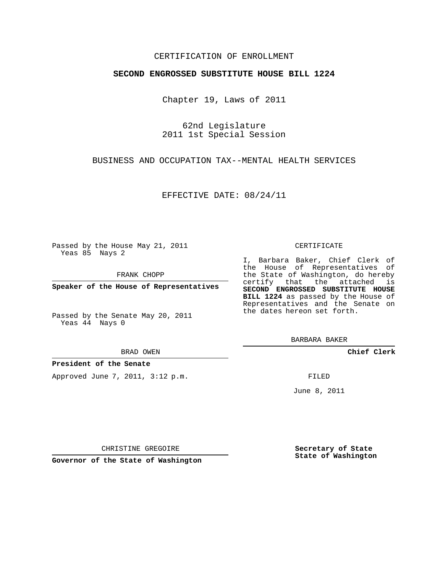### CERTIFICATION OF ENROLLMENT

### **SECOND ENGROSSED SUBSTITUTE HOUSE BILL 1224**

Chapter 19, Laws of 2011

62nd Legislature 2011 1st Special Session

BUSINESS AND OCCUPATION TAX--MENTAL HEALTH SERVICES

EFFECTIVE DATE: 08/24/11

Passed by the House May 21, 2011 Yeas 85 Nays 2

FRANK CHOPP

**Speaker of the House of Representatives**

Passed by the Senate May 20, 2011 Yeas 44 Nays 0

BRAD OWEN

**President of the Senate**

Approved June 7, 2011, 3:12 p.m.

#### CERTIFICATE

I, Barbara Baker, Chief Clerk of the House of Representatives of the State of Washington, do hereby certify that the attached is **SECOND ENGROSSED SUBSTITUTE HOUSE BILL 1224** as passed by the House of Representatives and the Senate on the dates hereon set forth.

BARBARA BAKER

**Chief Clerk**

FILED

June 8, 2011

**Secretary of State State of Washington**

CHRISTINE GREGOIRE

**Governor of the State of Washington**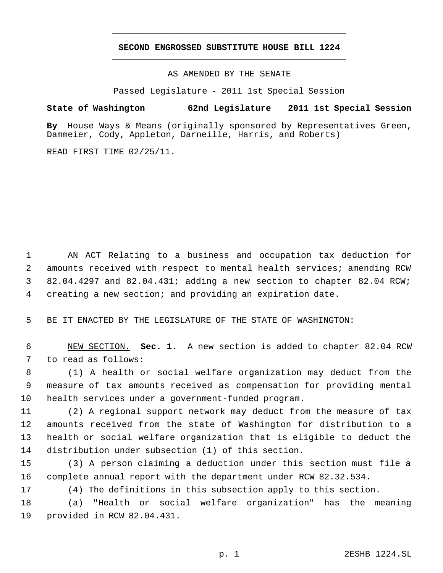# **SECOND ENGROSSED SUBSTITUTE HOUSE BILL 1224** \_\_\_\_\_\_\_\_\_\_\_\_\_\_\_\_\_\_\_\_\_\_\_\_\_\_\_\_\_\_\_\_\_\_\_\_\_\_\_\_\_\_\_\_\_

\_\_\_\_\_\_\_\_\_\_\_\_\_\_\_\_\_\_\_\_\_\_\_\_\_\_\_\_\_\_\_\_\_\_\_\_\_\_\_\_\_\_\_\_\_

AS AMENDED BY THE SENATE

Passed Legislature - 2011 1st Special Session

**State of Washington 62nd Legislature 2011 1st Special Session**

**By** House Ways & Means (originally sponsored by Representatives Green, Dammeier, Cody, Appleton, Darneille, Harris, and Roberts)

READ FIRST TIME 02/25/11.

 AN ACT Relating to a business and occupation tax deduction for amounts received with respect to mental health services; amending RCW 82.04.4297 and 82.04.431; adding a new section to chapter 82.04 RCW; creating a new section; and providing an expiration date.

BE IT ENACTED BY THE LEGISLATURE OF THE STATE OF WASHINGTON:

 NEW SECTION. **Sec. 1.** A new section is added to chapter 82.04 RCW to read as follows:

 (1) A health or social welfare organization may deduct from the measure of tax amounts received as compensation for providing mental health services under a government-funded program.

 (2) A regional support network may deduct from the measure of tax amounts received from the state of Washington for distribution to a health or social welfare organization that is eligible to deduct the distribution under subsection (1) of this section.

 (3) A person claiming a deduction under this section must file a complete annual report with the department under RCW 82.32.534.

(4) The definitions in this subsection apply to this section.

 (a) "Health or social welfare organization" has the meaning provided in RCW 82.04.431.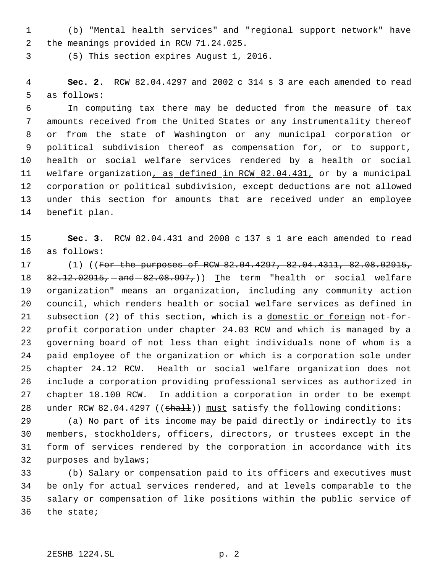(b) "Mental health services" and "regional support network" have the meanings provided in RCW 71.24.025.

(5) This section expires August 1, 2016.

 **Sec. 2.** RCW 82.04.4297 and 2002 c 314 s 3 are each amended to read as follows:

 In computing tax there may be deducted from the measure of tax amounts received from the United States or any instrumentality thereof or from the state of Washington or any municipal corporation or political subdivision thereof as compensation for, or to support, health or social welfare services rendered by a health or social welfare organization, as defined in RCW 82.04.431, or by a municipal corporation or political subdivision, except deductions are not allowed under this section for amounts that are received under an employee benefit plan.

 **Sec. 3.** RCW 82.04.431 and 2008 c 137 s 1 are each amended to read as follows:

 (1) ((For the purposes of RCW 82.04.4297, 82.04.4311, 82.08.02915, 18 82.12.02915, and 82.08.997,)) The term "health or social welfare organization" means an organization, including any community action council, which renders health or social welfare services as defined in subsection (2) of this section, which is a domestic or foreign not-for- profit corporation under chapter 24.03 RCW and which is managed by a governing board of not less than eight individuals none of whom is a paid employee of the organization or which is a corporation sole under chapter 24.12 RCW. Health or social welfare organization does not include a corporation providing professional services as authorized in chapter 18.100 RCW. In addition a corporation in order to be exempt 28 under RCW 82.04.4297 ((shall)) must satisfy the following conditions:

 (a) No part of its income may be paid directly or indirectly to its members, stockholders, officers, directors, or trustees except in the form of services rendered by the corporation in accordance with its purposes and bylaws;

 (b) Salary or compensation paid to its officers and executives must be only for actual services rendered, and at levels comparable to the salary or compensation of like positions within the public service of the state;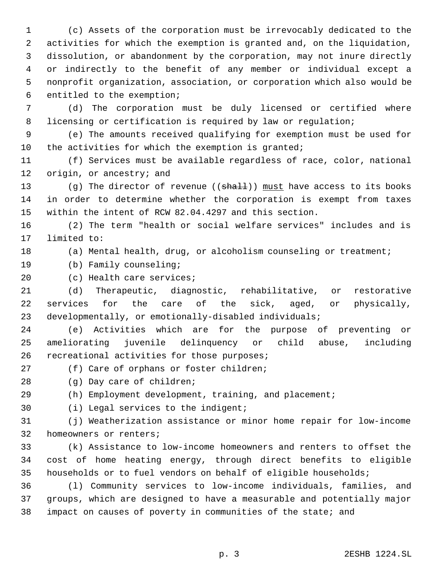(c) Assets of the corporation must be irrevocably dedicated to the activities for which the exemption is granted and, on the liquidation, dissolution, or abandonment by the corporation, may not inure directly or indirectly to the benefit of any member or individual except a nonprofit organization, association, or corporation which also would be entitled to the exemption;

 (d) The corporation must be duly licensed or certified where 8 licensing or certification is required by law or regulation;

 (e) The amounts received qualifying for exemption must be used for the activities for which the exemption is granted;

 (f) Services must be available regardless of race, color, national 12 origin, or ancestry; and

13 (g) The director of revenue ((shall)) must have access to its books in order to determine whether the corporation is exempt from taxes within the intent of RCW 82.04.4297 and this section.

 (2) The term "health or social welfare services" includes and is limited to:

(a) Mental health, drug, or alcoholism counseling or treatment;

(b) Family counseling;

## (c) Health care services;

 (d) Therapeutic, diagnostic, rehabilitative, or restorative services for the care of the sick, aged, or physically, developmentally, or emotionally-disabled individuals;

 (e) Activities which are for the purpose of preventing or ameliorating juvenile delinquency or child abuse, including recreational activities for those purposes;

(f) Care of orphans or foster children;

(g) Day care of children;

(h) Employment development, training, and placement;

(i) Legal services to the indigent;

 (j) Weatherization assistance or minor home repair for low-income homeowners or renters;

 (k) Assistance to low-income homeowners and renters to offset the cost of home heating energy, through direct benefits to eligible households or to fuel vendors on behalf of eligible households;

 (l) Community services to low-income individuals, families, and groups, which are designed to have a measurable and potentially major impact on causes of poverty in communities of the state; and